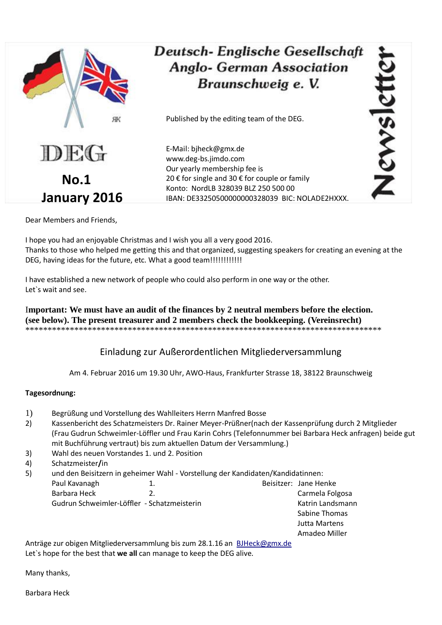

## Deutsch-Englische Gesellschaft **Anglo- German Association** Braunschweig e. V.

Published by the editing team of the DEG.

E-Mail: bjheck@gmx.de www.deg-bs.jimdo.com Our yearly membership fee is 20 € for single and 30 € for couple or family Konto: NordLB 328039 BLZ 250 500 00 IBAN: DE33250500000000328039 BIC: NOLADE2HXXX. Newslet

Dear Members and Friends,

I hope you had an enjoyable Christmas and I wish you all a very good 2016. Thanks to those who helped me getting this and that organized, suggesting speakers for creating an evening at the DEG, having ideas for the future, etc. What a good team!!!!!!!!!!!!

I have established a new network of people who could also perform in one way or the other. Let`s wait and see.

I**mportant: We must have an audit of the finances by 2 neutral members before the election. (see below). The present treasurer and 2 members check the bookkeeping. (Vereinsrecht)** \*\*\*\*\*\*\*\*\*\*\*\*\*\*\*\*\*\*\*\*\*\*\*\*\*\*\*\*\*\*\*\*\*\*\*\*\*\*\*\*\*\*\*\*\*\*\*\*\*\*\*\*\*\*\*\*\*\*\*\*\*\*\*\*\*\*\*\*\*\*\*\*\*\*\*\*\*\*\*\*

Einladung zur Außerordentlichen Mitgliederversammlung

Am 4. Februar 2016 um 19.30 Uhr, AWO-Haus, Frankfurter Strasse 18, 38122 Braunschweig

## **Tagesordnung:**

- 1) Begrüßung und Vorstellung des Wahlleiters Herrn Manfred Bosse
- 2) Kassenbericht des Schatzmeisters Dr. Rainer Meyer-Prüßner(nach der Kassenprüfung durch 2 Mitglieder (Frau Gudrun Schweimler-Löffler und Frau Karin Cohrs (Telefonnummer bei Barbara Heck anfragen) beide gut mit Buchführung vertraut) bis zum aktuellen Datum der Versammlung.)
- 3) Wahl des neuen Vorstandes 1. und 2. Position
- 4) Schatzmeister**/**in

5) und den Beisitzern in geheimer Wahl - Vorstellung der Kandidaten/Kandidatinnen:

Paul Kavanagh 1. 1. And 1. Beisitzer: Jane Henke Barbara Heck 2. 2. Carmela Folgosa Gudrun Schweimler-Löffler - Schatzmeisterin Katrin Katrin Landsmann Sabine Thomas

Jutta Martens

Amadeo Miller

Anträge zur obigen Mitgliederversammlung bis zum 28.1.16 an[BJHeck@gmx.de](mailto:BJHeck@gmx.de) Let`s hope for the best that **we all** can manage to keep the DEG alive.

Many thanks,

Barbara Heck